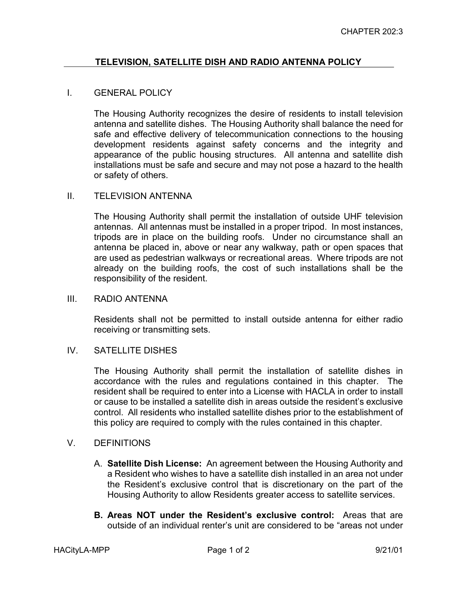# **TELEVISION, SATELLITE DISH AND RADIO ANTENNA POLICY**

### I. GENERAL POLICY

The Housing Authority recognizes the desire of residents to install television antenna and satellite dishes. The Housing Authority shall balance the need for safe and effective delivery of telecommunication connections to the housing development residents against safety concerns and the integrity and appearance of the public housing structures. All antenna and satellite dish installations must be safe and secure and may not pose a hazard to the health or safety of others.

#### II. TELEVISION ANTENNA

The Housing Authority shall permit the installation of outside UHF television antennas. All antennas must be installed in a proper tripod. In most instances, tripods are in place on the building roofs. Under no circumstance shall an antenna be placed in, above or near any walkway, path or open spaces that are used as pedestrian walkways or recreational areas. Where tripods are not already on the building roofs, the cost of such installations shall be the responsibility of the resident.

#### III. RADIO ANTENNA

Residents shall not be permitted to install outside antenna for either radio receiving or transmitting sets.

### IV. SATELLITE DISHES

The Housing Authority shall permit the installation of satellite dishes in accordance with the rules and regulations contained in this chapter. The resident shall be required to enter into a License with HACLA in order to install or cause to be installed a satellite dish in areas outside the resident's exclusive control. All residents who installed satellite dishes prior to the establishment of this policy are required to comply with the rules contained in this chapter.

## V. DEFINITIONS

- A. **Satellite Dish License:** An agreement between the Housing Authority and a Resident who wishes to have a satellite dish installed in an area not under the Resident's exclusive control that is discretionary on the part of the Housing Authority to allow Residents greater access to satellite services.
- **B. Areas NOT under the Resident's exclusive control:** Areas that are outside of an individual renter's unit are considered to be "areas not under